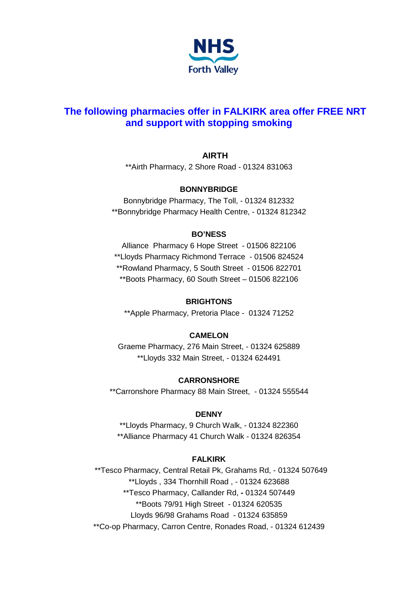

# **The following pharmacies offer in FALKIRK area offer FREE NRT and support with stopping smoking**

# **AIRTH**

\*\*Airth Pharmacy, 2 Shore Road - 01324 831063

## **BONNYBRIDGE**

Bonnybridge Pharmacy, The Toll, - 01324 812332 \*\*Bonnybridge Pharmacy Health Centre, - 01324 812342

### **BO'NESS**

Alliance Pharmacy 6 Hope Street - 01506 822106 \*\*Lloyds Pharmacy Richmond Terrace - 01506 824524 \*\*Rowland Pharmacy, 5 South Street - 01506 822701 \*\*Boots Pharmacy, 60 South Street – 01506 822106

## **BRIGHTONS**

\*\*Apple Pharmacy, Pretoria Place - 01324 71252

## **CAMELON**

Graeme Pharmacy, 276 Main Street, - 01324 625889 \*\*Lloyds 332 Main Street, - 01324 624491

## **CARRONSHORE**

\*\*Carronshore Pharmacy 88 Main Street, - 01324 555544

#### **DENNY**

\*\*Lloyds Pharmacy, 9 Church Walk, - 01324 822360 \*\*Alliance Pharmacy 41 Church Walk - 01324 826354

## **FALKIRK**

\*\*Tesco Pharmacy, Central Retail Pk, Grahams Rd, - 01324 507649 \*\*Lloyds , 334 Thornhill Road , - 01324 623688 \*\*Tesco Pharmacy, Callander Rd, **-** 01324 507449 \*\*Boots 79/91 High Street - 01324 620535 Lloyds 96/98 Grahams Road - 01324 635859 \*\*Co-op Pharmacy, Carron Centre, Ronades Road, - 01324 612439